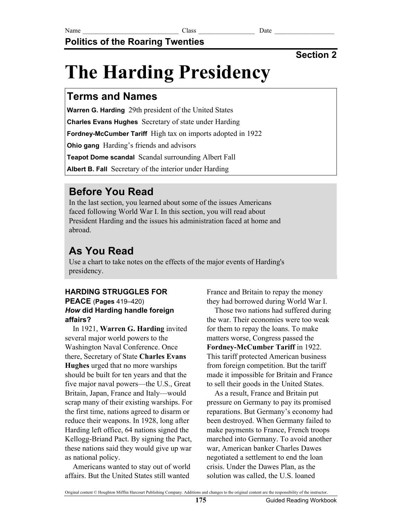**Politics of the Roaring Twenties**

## **Section 2**

# **The Harding Presidency**

# **Terms and Names**

**Warren G. Harding** 29th president of the United States **Charles Evans Hughes** Secretary of state under Harding **Fordney-McCumber Tariff** High tax on imports adopted in 1922 **Ohio gang** Harding's friends and advisors **Teapot Dome scandal** Scandal surrounding Albert Fall **Albert B. Fall** Secretary of the interior under Harding

# **Before You Read**

In the last section, you learned about some of the issues Americans faced following World War I. In this section, you will read about President Harding and the issues his administration faced at home and abroad.

# **As You Read**

Use a chart to take notes on the effects of the major events of Harding's presidency.

### **HARDING STRUGGLES FOR PEACE** (**Pages** 419–420) *How* **did Harding handle foreign affairs?**

In 1921, **Warren G. Harding** invited several major world powers to the Washington Naval Conference. Once there, Secretary of State **Charles Evans Hughes** urged that no more warships should be built for ten years and that the five major naval powers—the U.S., Great Britain, Japan, France and Italy—would scrap many of their existing warships. For the first time, nations agreed to disarm or reduce their weapons. In 1928, long after Harding left office, 64 nations signed the Kellogg-Briand Pact. By signing the Pact, these nations said they would give up war as national policy.

Americans wanted to stay out of world affairs. But the United States still wanted

France and Britain to repay the money they had borrowed during World War I.

Those two nations had suffered during the war. Their economies were too weak for them to repay the loans. To make matters worse, Congress passed the **Fordney-McCumber Tariff** in 1922. This tariff protected American business from foreign competition. But the tariff made it impossible for Britain and France to sell their goods in the United States.

As a result, France and Britain put pressure on Germany to pay its promised reparations. But Germany's economy had been destroyed. When Germany failed to make payments to France, French troops marched into Germany. To avoid another war, American banker Charles Dawes negotiated a settlement to end the loan crisis. Under the Dawes Plan, as the solution was called, the U.S. loaned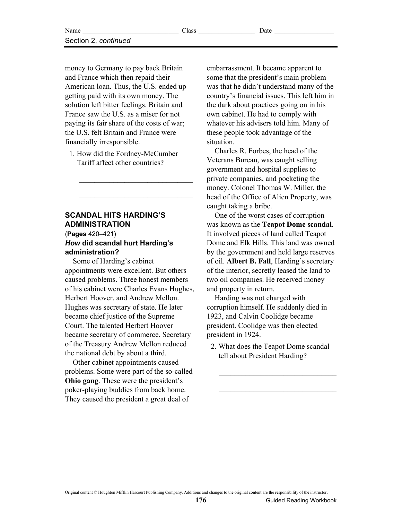money to Germany to pay back Britain and France which then repaid their American loan. Thus, the U.S. ended up getting paid with its own money. The solution left bitter feelings. Britain and France saw the U.S. as a miser for not paying its fair share of the costs of war; the U.S. felt Britain and France were financially irresponsible.

 1. How did the Fordney-McCumber Tariff affect other countries?

 $\overline{\phantom{a}}$  , where  $\overline{\phantom{a}}$  , where  $\overline{\phantom{a}}$  , where  $\overline{\phantom{a}}$ 

 $\overline{\phantom{a}}$  , where  $\overline{\phantom{a}}$  , where  $\overline{\phantom{a}}$  , where  $\overline{\phantom{a}}$ 

#### **SCANDAL HITS HARDING'S ADMINISTRATION**  (**Pages** 420–421)

## *How* **did scandal hurt Harding's administration?**

Some of Harding's cabinet appointments were excellent. But others caused problems. Three honest members of his cabinet were Charles Evans Hughes, Herbert Hoover, and Andrew Mellon. Hughes was secretary of state. He later became chief justice of the Supreme Court. The talented Herbert Hoover became secretary of commerce. Secretary of the Treasury Andrew Mellon reduced the national debt by about a third.

Other cabinet appointments caused problems. Some were part of the so-called **Ohio gang**. These were the president's poker-playing buddies from back home. They caused the president a great deal of

embarrassment. It became apparent to some that the president's main problem was that he didn't understand many of the country's financial issues. This left him in the dark about practices going on in his own cabinet. He had to comply with whatever his advisers told him. Many of these people took advantage of the situation.

Charles R. Forbes, the head of the Veterans Bureau, was caught selling government and hospital supplies to private companies, and pocketing the money. Colonel Thomas W. Miller, the head of the Office of Alien Property, was caught taking a bribe.

One of the worst cases of corruption was known as the **Teapot Dome scandal**. It involved pieces of land called Teapot Dome and Elk Hills. This land was owned by the government and held large reserves of oil. **Albert B. Fall**, Harding's secretary of the interior, secretly leased the land to two oil companies. He received money and property in return.

Harding was not charged with corruption himself. He suddenly died in 1923, and Calvin Coolidge became president. Coolidge was then elected president in 1924.

 2. What does the Teapot Dome scandal tell about President Harding?

\_\_\_\_\_\_\_\_\_\_\_\_\_\_\_\_\_\_\_\_\_\_\_\_\_\_\_\_\_\_\_

\_\_\_\_\_\_\_\_\_\_\_\_\_\_\_\_\_\_\_\_\_\_\_\_\_\_\_\_\_\_\_